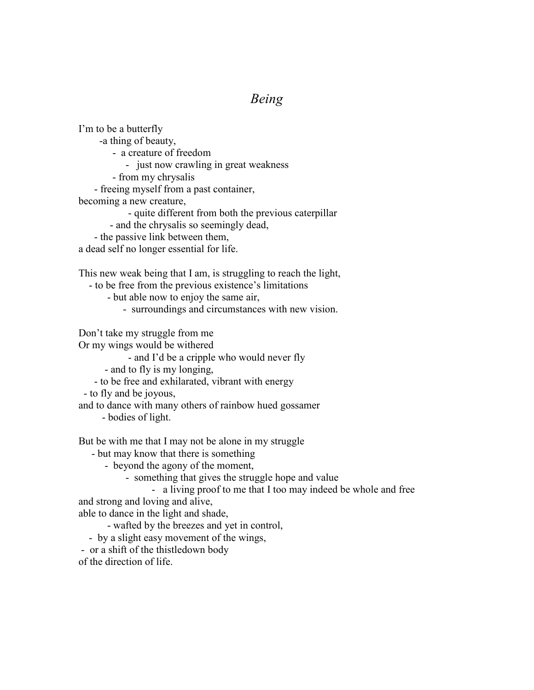## *Being*

I'm to be a butterfly -a thing of beauty, - a creature of freedom - just now crawling in great weakness - from my chrysalis - freeing myself from a past container, becoming a new creature, - quite different from both the previous caterpillar - and the chrysalis so seemingly dead, - the passive link between them, a dead self no longer essential for life. This new weak being that I am, is struggling to reach the light, - to be free from the previous existence's limitations

- but able now to enjoy the same air,
	- surroundings and circumstances with new vision.

Don't take my struggle from me

Or my wings would be withered

- and I'd be a cripple who would never fly
- and to fly is my longing,
- to be free and exhilarated, vibrant with energy
- to fly and be joyous,

and to dance with many others of rainbow hued gossamer

- bodies of light.

But be with me that I may not be alone in my struggle

- but may know that there is something
	- beyond the agony of the moment,
		- something that gives the struggle hope and value
			- a living proof to me that I too may indeed be whole and free

and strong and loving and alive,

able to dance in the light and shade,

- wafted by the breezes and yet in control,
- by a slight easy movement of the wings,
- or a shift of the thistledown body

of the direction of life.